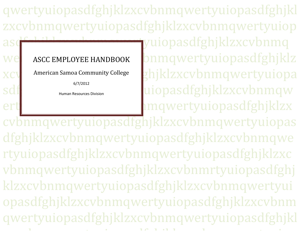qwertyuiopasdfghjklzxcvbnmqwertyuiopasdfghjklzxcvbnmqwertyuiopasdfghjklzxcvbnmqwertyuiopasdfahille bertyuiopasdfghjklzxcvbnmq we ASCC EMPLOYEE HANDBOOK Dnmqwertyuiopasdfghjklz xcv American Samoa Community College chicara habitat za CV bn mqwertyuiopa sdf **Inter all allegative** the securces Division **and also also as a secure of the secure of the secure of the secure of the secure of the secure of the secure of the secure of the secure of**  $\mu$ ert $\parallel$  cvbnmqwertyuiopasdfghjklzxcvbnmqwertyuiopas dfghjklzxcvbnmqwertyuiopasdfghjklzxcvbnmqwe rtyuiopasdfghjklzxcvbnmqwertyuiopasdfghjklzxc vbnmqwertyuiopasdfghjklzxcvbnmrtyuiopasdfghjklzxcvbnmqwertyuiopasdfghjklzxcvbnmqwertyuiopasdfghjklzxcvbnmqwertyuiopasdfghjklzxcvbnmqwertyuiopasdfghjklzxcvbnmqwertyuiopasdfghjklzach model za zamani za zamani za zamani za zamani za zamani za zamani za zamani za zamani za zamani za zamani ASCC EMPLOYEE HANDBOOK American Samoa Community College 6/7/2012 Human Resources Division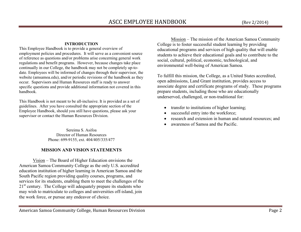#### **INTRODUCTION**

 This Employee Handbook is to provide a general overview of employment policies and procedures. It will serve as a convenient source of reference as questions and/or problems arise concerning general work regulations and benefit programs. However, because changes take place continually in our College, the handbook may not be completely up-todate. Employees will be informed of changes through their supervisor, the website (amsamoa.edu), and/or periodic revisions of the handbook as they occur. Supervisors and Human Resources staff is ready to answer specific questions and provide additional information not covered in this handbook.

This Handbook is not meant to be all-inclusive. It is provided as a set of guidelines. After you have consulted the appropriate section of the Employee Handbook, should you still have questions, please ask your supervisor or contact the Human Resources Division.

> Sereima S. Asifoa Director of Human Resources Phone: 699-9155, ext. 404/405/335/477

# **MISSION AND VISION STATEMENTS**

 Vision – The Board of Higher Education envisions the American Samoa Community College as the only U.S. accredited education institution of higher learning in American Samoa and the South Pacific region providing quality courses, programs, and services for its students, enabling them to meet the challenges of the 21<sup>st</sup> century. The College will adequately prepare its students who may wish to matriculate to colleges and universities off-island, join the work force, or pursue any endeavor of choice.

 Mission – The mission of the American Samoa Community College is to foster successful student learning by providing educational programs and services of high quality that will enable students to achieve their educational goals and to contribute to the social, cultural, political, economic, technological, and environmental well-being of American Samoa.

To fulfill this mission, the College, as a United States accredited, open admissions, Land Grant institution, provides access to associate degree and certificate programs of study. These programs prepare students, including those who are educationally underserved, challenged, or non-traditional for:

- •transfer to institutions of higher learning;
- •successful entry into the workforce;
- •research and extension in human and natural resources; and
- •awareness of Samoa and the Pacific.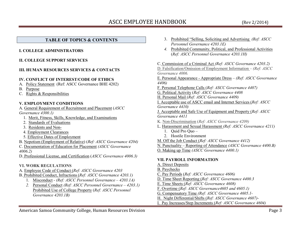# ASCC EMPLOYEE HANDBOOK (Rev 2/2014)

# **TABLE OF TOPICS & CONTENTS**

#### **I. COLLEGE ADMINISTRATORS**

#### **II. COLLEGE SUPPORT SERVICES**

## **III. HUMAN RESOURCES SERVICES & CONTACTS**

#### **IV. CONFLICT OF INTEREST/CODE OF ETHICS**

- A. Policy Statement (Ref: ASCC Governance BHE 4202)
- B. <u>Purpose</u>

.

C. Rights & Responsibilities

## **V. EMPLOYMENT CONDITIONS**

 A. General Requirement of Recruitment and Placement (*ASCC Governance 4300.1)* 

- 1. Merit, Fitness, Skills, Knowledge, and Examinations
	- 2. Standards of Evaluations
	- 3. Residents and Non-
- 4. Employment Clearances
- 5. Effective Dates of Employment
- B. Nepotism (Employment of Relative) (*Ref: ASCC Governance 4204)*
- C. Documentation of Education for Placement *(ASCC Governance 4006.2)*
- D. Professional License, and Certification (*ASCC Governance 4006.3)*

#### **VI. WORK REGULATIONS**

- A. Employee Code of Conduct (*Ref: ASCC Governance 4203*
- B. Prohibited Conduct, Infractions (*Ref: ASCC Governance 4203.1)*
	- 1. Misconduct *(Ref: ASCC Personnel Governance 4203.1A)*
	- *2.* Personal Conduct *(Ref: ASCC Personnel Governance 4203.1)*  Prohibited Use of College Property (*Ref: ASCC Personnel Governance 4203.1B)*
- 3. Prohibited "Selling, Soliciting and Advertising *(Ref: ASCC Personnel Governance 4203.1E)*
- *4.* Prohibited Community, Political, and Professional Activities(*Ref: ASCC Personnel Governance 4203.1H)*

C. Commission of a Criminal Act *(Ref: ASCC Governance 4203.2)* 

D. Falsification/Omission of Employment Information – *(Ref: ASCC Governance 4006.*

 E. Personal Appearance - Appropriate Dress – *(Ref: ASCC Governance 4406)*

F. Personal Telephone Calls (*Ref: ASCC Governance 4407)*

G. Political Activity (*Ref: ASCC Governance 4408*

H. Personal Mail (*Ref: ASCC Governance 4409)* 

 I. Acceptable use of ASCC email and Internet Services (*Ref: ASCC Governance 4410)*

 J. Acceptable and Safe Use of Equipment and Property (*Ref: ASCC Governance 4411* 

- K. Non-Discrimination (*Ref: ASCC Governance 4209)*
- L. Harassment and Sexual Harassment *(Ref: ASCC Governance 4211)* 
	- 1. Quid Pro Quo –
	- 2. Hostile Environment
- M. Off the Job Conduct (*Ref: ASCC Governance 4412)*

N. Punctuality – Reporting of Attendance *(ASCC Governance 4400.B)* 

O. Making up Time *(ASCC Governance 4400.1)* 

#### **VII. PAYROLL INFORMATION**

- A. Direct Deposits
- B. Paychecks
- C. Pay Periods (*Ref: ASCC Governance 4606)*
- D. Time Sheet Reporting (*Ref: ASCC Governance 4400.3*
- E. Time Sheets (*Ref: ASCC Governance 4608)*
- F. Overtime (*Ref: ASCC Governance4605 and 4605.1)*
- G. Compensatory Time *(Ref: ASCC Governance 4605.1-*
- H. Night Differential/Shifts (*Ref: ASCC Governance 4607)-*
- I. Pay Increases/Step Increments (*Ref: ASCC Governance 4604)*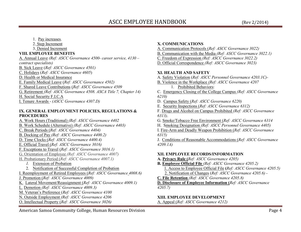#### 1. Pay increases.

2. Step Increment

3. Denied Increment

# **VIII. EMPLOYEE BENEFITS**

 A. Annual Leave *(Ref: ASCC Governance 4500- career service, 4130 – contract specialists)*  B. Sick Leave (*Ref: ASCC Governance 4501)* C. Holidays (*Ref: ASCC Governance 4605*) D. Health or Medical Insurance E. Family Medical Leave (*Ref: ASCC Governance 4502)*  F. Shared Leave Contributions (*Ref: ASCC Governance 4509*G. Retirement *(Ref: ASCC Governance 4508. ASCA Title 7, Chapter 14)* 

H. Social Security F.I.C.A

I. Tenure Awards - *(ASCC Governance 4307.D)*

#### **IX. GENERAL EMPLOYMENT POLICIES, REGULATIONS & PROCEDURES**

- A. Work Hours (Traditional) *(Ref: ASCC Governance 4402* B. Work Schedule (Alternative) *(Ref: ASCC Governance 4403)* C. Break Periods (*Ref: ASCC Governance 4404)* B. Docking of Pay *(Ref: ASCC Governance 4400.2)*D. Time Clocks (*Ref: ASCC Governance 4400.4)*  E. Official Travel (*Ref: ASCC Governance 3016)*  F. Exceptions to Travel (*Ref: ASCC Governance 3016.1)*  G. Orientation of Employee *(Ref: ASCC Governance 4007)* H. Probationary Period (*Ref: ASCC Governance 4007.1) 1.* Extension of Probation 2. Notification of Successful Completion of Probation I. Reemployment of Retired Employees (*Ref: ASCC Governance 4008.6)* J. Promotion (*Ref: ASCC Governance 4009)*  K. Lateral Movement/Reassignment (*Ref: ASCC Governance 4009.1)* L. Demotion *(Ref: ASCC Governance 4009.3)*  M. Veteran's Preference (*Ref: ASCC Governance 4100*N. Outside Employment *(Ref: ASCC Governance 4206*
- O. Intellectual Property (*Ref: ASCC Governance 3026)*

# **X. COMMUNICATIONS**

- A. Communication Protocols (*Ref: ASCC Governance 3022)*
- B. Communication with the Media *(Ref: ASCC Governance 3022.1)*
- C. Freedom of Expression *(Ref: ASCC Governance 3022.2)*
- D. Official Correspondence *(Ref: ASCC Governance 3023)*

# **XI. HEALTH AND SAFETY**

 A. Safety Violation (*Ref: ASCC Personnel Governance 4203.1C)-* B. Violence in the Workplace *(Ref: ASCC Governance 4207*1. Prohibited Behaviors: C. Emergency Closing of the College Campus *(Ref: ASCC Governance 6210)*  D. Campus Safety (*Ref: ASCC Governance 6220)* E. Security Inspections (*Ref: ASCC Governance 6312)*  F. Drugs and Alcohol on Campus Prohibited *(Ref: ASCC Governance 6313)*. G. Smoke/Tobacco Free Environment (*Ref: ASCC Governance 6314* H. Smoking Designation *(Ref: ASCC Personnel Governance 4405)* I. Fire-Arm and Deadly Weapon Prohibition (*Ref: ASCC Governance 6315)*  J. Conditions of Reasonable Accommodations (*Ref: ASCC Governance 4209.1A)*

# **XII. EMPLOYEE RECORDS/INFORMATION**

- **A. Privacy Rule (***Ref: ASCC Governance 4205)*
- **B. Employee Official File** *(Ref: ASCC Governance 4205.2)* 
	- 1. Access to Employee Official File **(***Ref: ASCC Governance 4205.5)*
	- 2. Notification of Changes (*Ref: ASCC Governance 4205.6)*
- **C. File Retention** *(Ref: ASCC Governance 4205.8)*

**D. Disclosure of Employee Information (***Ref: ASCC Governance 4205.7)* 

# **XIII. EMPLOYEE DEVELOPMENT**

A. Appeal (*Ref: ASCC Governance 4212)* 

American Samoa Community College, Human Resources Division **Page 4** and the state of the Page 4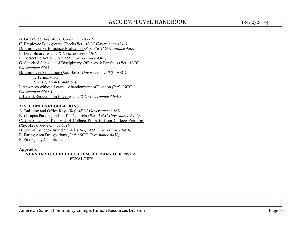B. Grievance *(Ref: ASCC Governance 4212)*  C. Employee Background Check (*Ref: ASCC Governance 4213)*  D. Employee Performance Evaluation *(Ref: ASCC Governance 4300)* E. Disciplinary *(Ref: ASCC Governance 4301)*  F. Corrective Action (*Ref: ASCC Governance 4302).*  G. Standard Schedule of Disciplinary Offenses & Penalties (*Ref: ASCC Governance 4303* H. Employee Separation (*Ref: ASCC Governance 4304) -* ASCC 1. Termination 2. Resignation Conditions I. Absences without Leave – Abandonment of Position *(Ref: ASCC Governance 4304.3)*J. Layoff/Reduction in force (*Ref: ASCC Governance 4304.4)* 

#### **XIV. CAMPUS REGULATIONS**

 A. Building and Office Keys (*Ref: ASCC Governance 3025)*  B. Campus Parking and Traffic Controls (*Ref: ASCC Governance 6400)*  C. Use of and/or Removal of College Property from College Premises (*Ref: ASCC Governance 6316* D. Use of College-Owned Vehicles *(Ref: ASCC Governance 6410)*E. Eating Area Designations (*Ref: ASCC Governance 6430)* F. Emergency Conditions

#### **Appendix**

 **STANDARD SCHEDULE OF DISCIPLINARY OFFENSE & PENALTIES**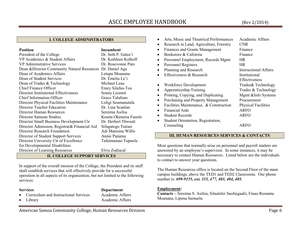# ASCC EMPLOYEE HANDBOOK (Rev 2/2014)

# **I. COLLEGE ADMINISTRATORS**

#### **Position Incumbent**

Dr. Seth P. Galea'i President of the College VP Academics & Student Affairs Dr. Kathleen Kolhoff VP Administrative Services Dr. Rosevonne Pato Dean &Director Community Natural Resources Dr. Daniel Aga Letupu Moananu Dean of Academics Affairs Dean of Student Services Dr. Emelia Le'i Dean of Trades & Technology Michael Leau Emey Silafau-Toa Chief Finance Officer Director Institutional Effectiveness Sonny Leomiti Grace Tulafono Chief Information Officer Director Physical Facilities Maintenance Loligi Seumanutafa Director Teacher Education Dr. Lina Scanlan Director Human Resources Sereima Asifoa Keseta Okenaisa Fauolo Director Samoan Studies Director Small Business Development Ctr Dr. Herbert Thweatt Director Admission, Registrar& Financial Aid Sifagatogo Tuitasi Adi Matesina Willis Director Research Foundation Director of Student Support Services Annie Panama Tafaimamao Tupuola Director University Ctr of Excellence for Developmental Disabilities Director of Learning Resources Elvis Zodiacal

# **II. COLLEGE SUPPORT SERVICES**

In support of the overall mission of the College, the President and its staff shall establish services that will effectively provide for a successful operation in all aspects of its organization, but not limited to the following services:

**Services Department** 

- •Curriculum and Instructional Services Academic Affairs
- •
- Library Academic Affairs

| Arts, Music and Theatrical Performances | Academic Affairs             |
|-----------------------------------------|------------------------------|
| Research in Land, Agriculture, Forestry | <b>CNR</b>                   |
| <b>Finances and Grants Management</b>   | Finance                      |
| Bookstore & Cafeteria                   | Finance                      |
| Personnel Employment, Records Mgmt      | <b>HR</b>                    |
| Personnel Registers                     | <b>HR</b>                    |
| Planning and Research                   | <b>Instructional Affairs</b> |
| Effectiveness & Research                | Institutional                |
|                                         | Effectiveness                |
| Workforce Development                   | Trades & Technology          |
| <b>Apprenticeship Training</b>          | Trades & Technology          |
| Printing, Copying, and Duplicating      | Mgmt &Info Systems           |
| Purchasing and Property Management      | Procurement                  |
| Facilities Maintenance, & Construction  | <b>Physical Facilities</b>   |
| <b>Financial Aids</b>                   | <b>ARFO</b>                  |
| <b>Student Records</b>                  | ARFO                         |
| Student Orientation, Registration,      |                              |
| Counseling                              | ARFO                         |

#### **III. HUMAN RESOURCES SERVICES & CONTACTS**

Most questions that normally arise on personnel and payroll matters are answered by an employee's supervisor. In some instances, it may be necessary to contact Human Resources. Listed below are the individuals to contact to answer your questions.

The Human Resources office is located on the Second Floor of the main campus buildings, above the TED1 and TED2 Classrooms. Our phone number is: *699-9155, ext. 335, 477, 403, 404, 405.*

#### **Employment:**

 **Contacts –** Sereima S. Asifoa, Silaulelei Saofaigaalii, Finau Roxanne Moananu, Lipena Samuelu

American Samoa Community College, Human Resources Division **Page 6** and College 6 and College 6 and College 6 and College 6 and College 6 and College 6 and College 6 and College 6 and College 6 and College 6 and College 6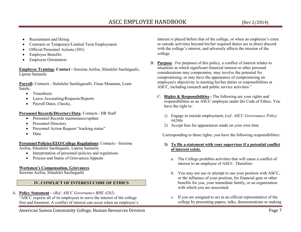- •Recruitment and Hiring
- •Contracts or Temporary/Limited Term Employment
- •Official Personnel Actions (303)
- •Employee Benefits
- •Employee Orientation

**Employee Training: Contact -** Sereima Asifoa, Silaulelei Saofaigaalii, Lipena Samuelu

**Payroll:** Contacts - Sialulelei Saofaigaoalli, Finau Moananu, Leata Satele.

- •Timesheets
- •Leave Accounting/Requests/Reports
- •Payroll Dates, Checks,

**Personnel Records/Directory/Data**: Contacts - HR Staff

- $\bullet$ Personnel Records maintenance/update
- •Personnel Directory
- •Personnel Action Request "tracking status"
- •Data

**Personnel Policies/EEO/College Regulations:** Contacts - Sereima

Asifoa, Silaulelei Saofaigaalii, Lipena Samuelu

- Interpretation of personnel policies and regulations
- •Process and Status of Grievances/Appeals

# **Workmen's Compensation, Grievances**

Sereima Asifoa, Silaulelei Saofaigaalii

# **IV. CONFLICT OF INTEREST/CODE OF ETHICS**

A. **Policy Statement –** (*Ref: ASCC Governance BHE 4202)* "ASCC expects all of its employees to serve the interest of the college first and foremost. A conflict of interest can occur when an employee's

American Samoa Community College, Human Resources Division **Page 7** Page 7

interest is placed before that of the college, or when an employee's extra or outside activities beyond his/her required duties are in direct discord with the college's interest, and adversely affects the mission of the college.

- B. **Purpose**. For purposes of this policy, a conflict of interest relates to situations in which significant financial interest or other personal considerations may compromise, may involve the potential for compromising, or may have the appearance of compromising an employee's objectivity in meeting his/her duties or responsibilities at ASCC, including research and public service activities."
	- C. **Rights & Responsibilities -** The following are your rights and responsibilities as an ASCC employee under the Code of Ethics. You have the right to:
		- *1)* Engage in outside employment, (*ref: ASCC Governance Policy #4206)*
		- 2) Accept fees for appearances made on your own time

Corresponding to these rights, you have the following responsibilities:

- **3) To file a statement with your supervisor if a potential conflict of interest exists.** 
	- a. The College prohibits activities that will cause a conflict of interest to an employee of ASCC. Therefore:
	- b. You may not use or attempt to use your position with ASCC, or the influence of your position, for financial gain or other benefits for you, your immediate family, or an organization with which you are associated.
	- c. If you are assigned to act as an official representative of the college by presenting papers, talks, demonstrations or making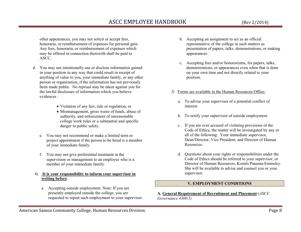# ASCC EMPLOYEE HANDBOOK (Rev 2/2014)

other appearances, you may not solicit or accept fees, honoraria, or reimbursement of expenses for personal gain. Any fees, honoraria, or reimbursement of expenses which may be offered in connection therewith shall be paid to ASCC.

- d. You may not intentionally use or disclose information gained in your position in any way that could result in receipt of anything of value to you, your immediate family, or any other person or organization, if the information has not previously been made public. No reprisal may be taken against you for the lawful disclosure of information which you believe evidences :
	- Violation of any law, rule or regulation, or
	- Mismanagement, gross waste of funds, abuse of authority, and enforcement of unreasonable college work rules or a substantial and specific danger to public safety.
	- e. You may not recommend or make a limited term or project appointment if the person to be hired is a member of your immediate family.
	- f. You may not give preferential treatment in the supervision or management to an employee who is a member of your immediate family.

#### 4) **It is your responsibility to inform your supervisor in writing before**:

a. Accepting outside employment. Note: If you are presently employed outside the college, you are requested to report such employment to your supervisor.

- b. Accepting an assignment to act as an official representative of the college in such matters as presentation of papers, talks, demonstrations, or making appearances.
- c. Accepting fees and/or honorariums, for papers, talks, demonstrations, or appearances even when that is done on your own time and not directly related to your position.
- *5)* Forms are available in the Human Resources Office:
	- a. To advise your supervisor of a potential conflict of interest.
	- b. To notify your supervisor of outside employment.
	- c. If you are ever accused of violating provisions of the Code of Ethics, the matter will be investigated by any or all of the following: Your immediate supervisor, Dean/Director, Vice President, and Director of Human Resources.
	- d. Questions about your rights or responsibilities under the Code of Ethics should be referred to your supervisor, or Director of Human Resources, Komiti Panama-Emmsley.She will be available to advise and counsel you or your supervisor.

## **V. EMPLOYMENT CONDITIONS**

#### **A. General Requirement of Recruitment and Placement** (*ASCC Governance 4300.1)*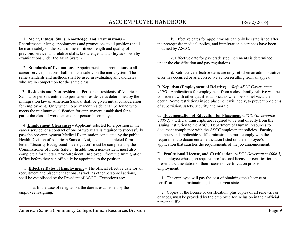1. **Merit, Fitness, Skills, Knowledge, and Examinations** –

 Recruitments, hiring, appointments and promotions to all positions shall be made solely on the basis of merit, fitness, length and quality of previous service, and relative skills, knowledge, and ability as shown by examinations under the Merit System.

 2. **Standards of Evaluations** –Appointments and promotions to all career service positions shall be made solely on the merit system. The same standards and methods shall be used in evaluating all candidates who are in competition for the same class.

 3. **Residents and Non-residents -** Permanent residents of American Samoa, or persons entitled to permanent residence as determined by the immigration law of American Samoa, shall be given initial consideration for employment. Only when no permanent resident can be found who meets the minimum qualification for employment established for a particular class of work can another person be employed.

 4. **Employment Clearances -** Applicant selected for a position in the career service, or a contract of one or two years is required to successfully pass the pre-employment Medical Examination conducted by the public Health Division of American Samoa. A signed and completed form letter, "Security Background Investigation" must be completed by the Commissioner of Public Safety. In addition, a non-resident must also complete a form letter, "Non-Resident Employee", from the Immigration Office before they can officially be appointed to the position.

 5. **Effective Dates of Employment** – The official effective date for all recruitment and placement actions, as well as other personnel actions, shall be established by the President of ASCC. Exceptions are:

a. In the case of resignation, the date is established by the employee resigning;

b. Effective dates for appointments can only be established after the prerequisite medical, police, and immigration clearances have been obtained by ASCC;

c. Effective date for pay grade step increments is determined under the classification and pay regulations.

d. Retroactive effective dates are only set when an administrative error has occurred or as a corrective action resulting from an appeal.

B. **Nepotism (Employment of Relative) –** *(Ref: ASCC Governance 4204) -* Applications for employment from a close family relative will be considered with other qualified applicants when personnel vacancies occur. Some restrictions in job placement will apply, to prevent problems of supervision, safety, security and morale.

C. **Documentation of Education for Placement** *(ASCC Governance 4006.2) -* Official transcripts are required to be sent directly from the issuing institution to the ASCC Department of Human Resources to document compliance with the ASCC employment policies. Faculty members and applicable staff/administrators must comply with the requirement to document all education listed on the employee's application that satisfies the requirements of the job announcement.

D. **Professional License, and Certification** *(ASCC Governance 4006.3)*  An employee whose job requires professional license or certification must present documentation of their license or certification prior to employment.

 1. The employee will pay the cost of obtaining their license or certification, and maintaining it in a current state.

 2. Copies of the license or certification, plus copies of all renewals or changes, must be provided by the employee for inclusion in their official personnel file.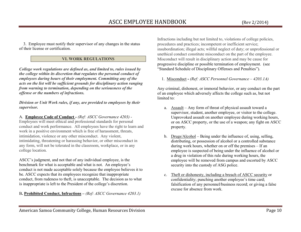3. Employee must notify their supervisor of any changes in the status of their license or certification.

# **VI. WORK REGULATIONS**

*College work regulations are defined as, and limited to, rules issued by the college within its discretion that regulates the personal conduct of employees during hours of their employment. Committing any of the acts on the list will be sufficient grounds for disciplinary action ranging from warning to termination, depending on the seriousness of the offense or the numbers of infractions.* 

*Division or Unit Work rules, if any, are provided to employees by their supervisor.* 

A. **Employee Code of Conduct** *- (Ref: ASCC Governance 4203) -*  Employees will meet ethical and professional standards for personal conduct and work performance. All employees have the right to learn and work in a positive environment which is free of harassment, threats, intimidation, violence or any other misconduct. Any violent, intimidating, threatening or harassing behavior, or other misconduct in any form, will not be tolerated in the classroom, workplace, or in any college location.

ASCC's judgment, and not that of any individual employee, is the benchmark for what is acceptable and what is not. An employee's conduct is not made acceptable solely because the employee believes it to be. ASCC expects that its employees recognize that inappropriate conduct, from rudeness to theft, is unacceptable. The decision as to what is inappropriate is left to the President of the college's discretion.

B**. Prohibited Conduct, Infractions –** *(Ref: ASCC Governance 4203.1)*

Infractions including but not limited to, violations of college policies, procedures and practices; incompetent or inefficient service; insubordination; illegal acts; willful neglect of duty; or unprofessional or unethical conduct constitute misconduct on the part of the employee. Misconduct will result in disciplinary action and may be cause for progressive discipline or possible termination of employment. (see "Standard Schedule of Disciplinary Offenses and Penalties").

1. Misconduct **-** *(Ref: ASCC Personnel Governance – 4203.1A)* 

Any criminal, dishonest, or immoral behavior, or any conduct on the part of an employee which adversely affects the college such as, but not limited to:

- a. Assault Any form of threat of physical assault toward a supervisor, student, another employee, or visitor to the college. Unprovoked assault on another employee during working hours, or on ASCC property, or the use of a weapon; any fight on ASCC property.
- b. Drugs/Alcohol Being under the influence of, using, selling, distributing, or possession of alcohol or a controlled substance during work hours, whether on or off the premises – If an employee is suspected of being under the influence of alcohol or a drug in violation of this rule during working hours, the employee will be removed from campus and escorted by ASCC security into the custody of ASG police.
- c. Theft or dishonesty, including a breach of ASCC security or confidentiality; punching another employee's time card; falsification of any personnel/business record; or giving a false excuse for absence from work.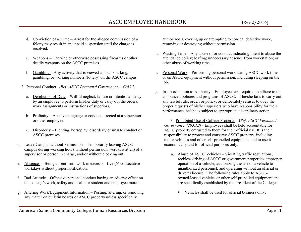- d. Conviction of a crime Arrest for the alleged commission of a felony may result in an unpaid suspension until the charge is resolved.
- e. Weapons Carrying or otherwise possessing firearms or other deadly weapons on the ASCC premises.
- f. Gambling Any activity that is viewed as loan-sharking, gambling, or working numbers (lottery) on the ASCC campus.
- 2. Personal Conduct*(Ref: ASCC Personnel Governance 4203.1)* 
	- a. Dereliction of Duty Willful neglect, failure or intentional delay by an employee to perform his/her duty or carry out the orders, work assignments or instructions of superiors.
	- b. Profanity Abusive language or conduct directed at a supervisor or other employee.
	- c. Disorderly Fighting, horseplay, disorderly or unsafe conduct on ASCC premises.
- d. Leave Campus without Permission Temporarily leaving ASCC campus during working hours without permission (verbal/written) of a supervisor or person in charge, and/or without clocking out.
- e.  $\Delta b$  sences Being absent from work in excess of five (5) consecutive workdays without proper notification.
- f. Bad Attitude Offensive personal conduct having an adverse effect on the college's work, safety and health or student and employee morale.
- g. Altering Work/Equipment/Information – Posting, altering, or removing any matter on bulletin boards or ASCC property unless specifically

authorized. Covering up or attempting to conceal defective work; removing or destroying without permission.

- h. Wasting Time Any abuse of or conduct indicating intent to abuse the attendance policy; loafing; unnecessary absence from workstation; or other abuse of working time. .
- i. Personal Work Performing personal work during ASCC work time or on ASCC equipment without permission, including sleeping on the job.
- j. Insubordination to Authority – Employees are required to adhere to the announced policies and programs of ASCC. If he/she fails to carry out any lawful rule, order, or policy, or deliberately refuses to obey the proper requests of his/her superiors who have responsibility for their performance, he/she is subject to appropriate disciplinary action.
	- 3. Prohibited Use of College Property – **(***Ref: ASCC Personnel Governance 4203.1B) -* Employees shall be held accountable for ASCC property entrusted to them for their official use. It is their responsibility to protect and conserve ASCC property, including motor vehicles and other self-propelled equipment, and to use it economically and for official purposes only.
		- a. Abuse of ASCC Vehicles Violating traffic regulations; reckless driving of ASCC or government properties, improper operation of a vehicle; authorizing the use of a vehicle to unauthorized personnel; and operating without an official or driver's license. The following rules apply to ASCCowned/leased vehicles or other self-propelled equipment and are specifically established by the President of the College:
			- n Vehicles shall be used for official business only;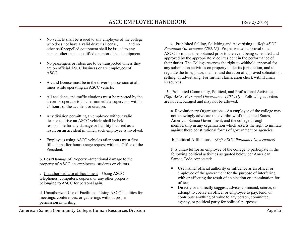- No vehicle shall be issued to any employee of the college who does not have a valid driver's license, and no
- other self-propelled equipment shall be issued to any person other than a qualified operator of said equipment;
- н No passengers or riders are to be transported unless they are on official ASCC business or are employees of ASCC;
- $\blacksquare$  A valid license must be in the driver's possession at all times while operating an ASCC vehicle;
- All accidents and traffic citations must be reported by the driver or operator to his/her immediate supervisor within 24 hours of the accident or citation;
- Any division permitting an employee without valid license to drive an ASCC vehicle shall be held responsible for any damage or liability incurred as a result on an accident in which such employee is involved.
- $\blacksquare$  Employees using ASCC vehicles after hours must first fill out an after-hours usage request with the Office of the President.

b. Loss/Damage of Property –Intentional damage to the property of ASCC, its employees, students or visitors.

c. Unauthorized Use of Equipment – Using ASCC telephones, computers, copiers, or any other property belonging to ASCC for personal gain.

d. Unauthorized Use of Facilities – Using ASCC facilities for meetings, conferences, or gatherings without properpermission in writing.

 4. Prohibited Selling, Soliciting and Advertising **–** *(Ref: ASCC Personnel Governance 4203.1E)-* Proper written approval on an ASCC form must be obtained prior to the event being scheduled and approved by the appropriate Vice President in the performance of their duties. The College reserves the right to withhold approval for any solicitation activities on property under its jurisdiction, and to regulate the time, place, manner and duration of approved solicitation, selling, or advertising. For further clarification check with Human Resources.

 5. Prohibited Community, Political, and Professional Activities – *(Ref: ASCC Personnel Governance 4203.1H)* – Following activities are not encouraged and may not be allowed:

a. Revolutionary Organizations - An employee of the college may not knowingly advocate the overthrow of the United States, American Samoa Government, and the college through membership in any organization which asserts the right to militate against these constitutional forms of government or agencies.

b. Political Affiliations – *(Ref: ASCC Personnel Governance)*

It is unlawful for an employee of the college to participate in the following political activities as quoted below per American Samoa Code Annotated:

- Use his/her official authority or influence as an officer or employee of the government for the purpose of interfering with or affecting the result of an election or a nomination for office;
- Directly or indirectly suggest, advise, command, coerce, or  $\blacksquare$ attempt to coerce an officer or employee to pay, lend, or contribute anything of value to any person, committee, agency, or political party for political purposes;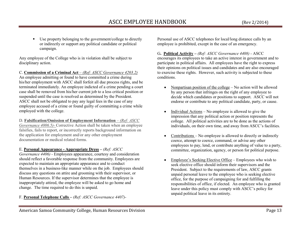Use property belonging to the government/college to directly or indirectly or support any political candidate or political

campaign.

 $\blacksquare$ 

Any employee of the College who is in violation shall be subject to disciplinary action.

C. **Commission of a Criminal Act** *– (Ref: ASCC Governance 4203.2)* 

An employee admitting or found to have committed a crime during his/her employment with ASCC shall forfeit all due process rights, and be terminated immediately. An employee indicted of a crime pending a court case shall be removed from his/her current job to a less critical position or suspended until the case is resolved as determined by the President. ASCC shall not be obligated to pay any legal fees in the case of any employee accused of a crime or found guilty of committing a crime while employed with the college.

D. **Falsification/Omission of Employment Information** – *(Ref: ASCC* 

 *Governance 4006.5)-* Corrective Action shall be taken when an employee falsifies, fails to report, or incorrectly reports background information on the application for employment and/or any other employment documentation or medical related forms.

E. **Personal Appearance - Appropriate Dress –** *(Ref: ASCC* 

 *Governance 4406) -* Employees appearance, courtesy and consideration should reflect a favorable response from the community. Employees are expected to maintain an appropriate appearance and to conduct themselves in a business-like manner while on the job. Employees should discuss any questions on attire and grooming with their supervisor, or Human Resources. If the supervisor determines that the employee is inappropriately attired, the employee will be asked to go home and change. The time required to do this is unpaid.

F. **Personal Telephone Calls –** *(Ref: ASCC Governance 4407)-* 

Personal use of ASCC telephones for local/long distance calls by an employee is prohibited, except in the case of an emergency.

G**. Political Activity –** *(Ref: ASCC Governance 4408) -* ASCC encourages its employees to take an active interest in government and to participate in political affairs. All employees have the right to express their opinions on political issues and candidates and are also encouraged to exercise these rights. However, such activity is subjected to these conditions.

- • Nonpartisan position of the college – No action will be allowed by any person that infringes on the right of any employee to decide which candidates or positions to support. ASCC will not endorse or contribute to any political candidate, party, or cause.
- • Individual Actions – No employee is allowed to give the impression that any political action or position represents the college. All political activities are to be done as the actions of individuals, on their own time, and away from ASCC's facilities.
- $\bullet$  Contributions – No employee is allowed to directly or indirectly coerce, attempt to coerce, command, or advise any other employees to pay, lend, or contribute anything of value to a party, committee, organization, agency, or person for political purpose.
- • Employee's Seeking Elective Office – Employees who wish to seek elective office should inform their supervisors and the President. Subject to the requirements of law, ASCC grants unpaid personal leave to the employee who is seeking elective office, for the purpose of campaigning for and fulfilling the responsibilities of office, if elected. An employee who is granted leave under this policy must comply with ASCC's policy for unpaid political leave in its entirety.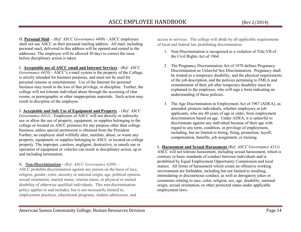H. **Personal Mail** – *(Ref: ASCC Governance 4409) -* ASCC employees shall not use ASCC as their personal mailing address. All mail, including personal mail, delivered to this address will be opened and routed to the addressee. The employee will be allowed 30 days to correct the issue before disciplinary action is taken.

I. **Acceptable use of ASCC email and Internet Services** - *(Ref: ASCC Governance 4410) -* ASCC's e-mail system is the property of the College, is strictly intended for business purposes, and must not be used for personal reasons or entertainment. Use of the Internet for personal business may result in the loss of that privilege, or discipline. Further, the college will not tolerate individual abuse through the accessing of chat rooms, or pornographic or other inappropriate materials. Such action may result in discipline of the employee.

J. **Acceptable and Safe Use of Equipment and Property** – (*Ref: ASCC Governance 4411) -* Employees of ASCC will not directly or indirectly use or allow the use of property, equipment, or supplies belonging to the college or located on ASCC premises for any purpose other than college business, unless special permission is obtained from the President. Further, no employee shall willfully alter, mutilate, abuse, or waste any property, equipment, or supplies belonging to ASCC or located on college property. The improper, careless, negligent, destructive, or unsafe use or operation of equipment or vehicles can result in disciplinary action, up to and including termination.

K. **Non-Discrimination -** *(Ref: ASCC Governance 4209) –* 

 ASCC prohibits discrimination against any person on the basis of race, religion, gender, color, ancestry or national origin, age, political opinion, sexual orientation, marital status, veteran status, or physical or mental disability of otherwise qualified individuals. This non-discrimination policy applies to and includes, but is not necessarily limited to, employment practices, educational programs, student admissions, and

access to services. The college will abide by all applicable requirements of local and federal law prohibiting discrimination.

- 1. Non-Discrimination is recognized as a violation of Title VII of the Civil Rights Act of 1964:
- 2. The Pregnancy Discrimination Act of 1978 defines Pregnancy Discrimination as Unlawful Sex Discrimination. Pregnancy shall be treated as a temporary disability, and the physical requirements of the job description, and the policies pertaining to FMLA and reinstatement of their job after temporary disability must be explained to the employee, who will sign a form indicating an understanding of these policies.
- 3. The Age Discrimination in Employment Act of 1967 (ADEA), as amended, protects individuals, whether employees or job applicants, who are 40 years of age or older, from employment discrimination based on age. Under ADEA, it is unlawful to discriminate against any individual because of their age with regard to any term, condition, or privilege of employment, including, but no limited to hiring, firing, promotion, layoff, compensation, benefits, job assignment, or training.

L. **Harassment and Sexual Harassment** *(Ref: ASCC Governance 4211)*  ASCC will not tolerate harassment, including sexual harassment, which is contrary to basic standards of conduct between individuals and is prohibited by Equal Employment Opportunity Commission and local statues. All forms of harassment which create an offensive working environment are forbidden, including but not limited to insulting, intimidating or discourteous conduct, as well as derogatory jokes or comments relating to race, color, religion, sex, age, disability, national origin, sexual orientation, or other protected status under applicable employment laws.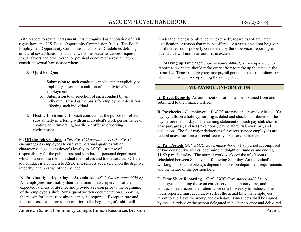With respect to sexual harassment, it is recognized as a violation of civil rights laws and U.S. Equal Opportunity Commission Rules. The Equal Employment Opportunity Commission has issued Guidelines defining unlawful sexual harassment as: Unwelcome sexual advances, requests of sexual favors and other verbal or physical conduct of a sexual nature

# 3. **Quid Pro Quo** -

constitute sexual harassment when:

- a. Submission to such conduct is made, either explicitly or implicitly, a term or condition of an individual's employment.
- b. Submission to or rejection of such conduct by an individual is used as the basis for employment decisions affecting such individual.
- 4. **Hostile Environment** Such conduct has the purpose or effect of substantially interfering with an individual's work performance or creating an intimidating, hostile, or offensive working environment.

M. **Off the Job Conduct** - *(Ref: ASCC Governance 4412) - ASCC*encourages its employees to cultivate personal qualities which characterize a good employee's loyalty to ASCC – a sense of responsibility for the public trust and standard of personal deportment which is a credit to the individual themselves and to the service. Off-thejob conduct is a concern to ASCC if it reflects adversely upon the dignity, integrity, and prestige of the College.

N. **Punctuality – Reporting of Attendance** *(ASCC Governance 4400.B)*  All employees must notify their department head/supervisor of their expected lateness or absence and provide a reason prior to the beginning of the employee's shift. Subsequent written documentation supporting the reason for lateness or absence may be required. Except in rare and unusual cases, a failure to report prior to the beginning of a shift will

render the lateness or absence "unexcused", regardless of any later justification or reason that may be offered. An excuse will not be given until the reason is properly considered by the supervisor; reporting of attendance will not be an automatic excuse.

O. **Making up Time** *(ASCC Governance 4400.1) -* An employee who reports to work late should make every effort to make up the time on the same day. Time lost during any one payroll period because of tardiness or absence must be made up during the same period.

#### **VII. PAYROLL INFORMATION**

**A. Direct Deposits-** An authorization form shall be obtained from and submitted to the Finance Office.

**B. Paychecks -**All employees of ASCC are paid on a biweekly basis. If a payday falls on a holiday, earning is dated and checks distributed on the day before the holiday. The earning statement on each pay stub shows base pay, gross, and net (take home) pay, differential, overtime, and deductions. The four major deductions for career service employees are: federal taxes, local taxes, social security taxes, and retirement.

**C. Pay Periods (***Ref: ASCC Governance 4606)* - Pay period is composed of two consecutive weeks, beginning midnight on Sunday and ending 11:59 p.m. Saturday. The normal work week consist of 40 hours scheduled between Sunday and following Saturday. An individual's working hours and workdays depend on division/department requirements and the nature of the position held.

D. **Time Sheet Reporting** – *(Ref: ASCC Governance 4400.3) -* All employees including those on career service, temporary hire, and contracts must record their attendance on a bi-weekly timesheet. The hours reported must accurately reflect the actual time that employees report to and leave the workplace each day. Timesheets shall be signed by the supervisor or the person delegated in his/her absence and delivered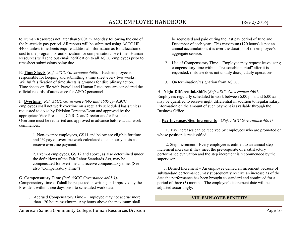to Human Resources not later than 9:00a.m. Monday following the end of the bi-weekly pay period. All reports will be submitted using ASCC HR 4400, unless timesheets require additional information as for allocation of cost to the program, or authorization for compensation/ overtime. Human Resources will send out email notification to all ASCC employees prior to timesheet submissions being due.

E. **Time Sheets** (*Ref: ASCC Governance 4608) -* Each employee is responsible for keeping and submitting a time sheet every two weeks. Willful falsification of time sheets is grounds for disciplinary action. Time sheets on file with Payroll and Human Resources are considered the official records of attendance for ASCC personnel.

F. **Overtime** (*Ref: ASCC Governance4605 and 4605.1)-* ASCC employees shall not work overtime on a regularly scheduled basis unless requested to do so by Division Director/Dean and approved by the appropriate Vice President, CNR Dean/Director and/or President. Overtime must be requested and approved in advance before actual work commences.

> 1. Non-exempt employees, GS11 and below are eligible for time and 1½ pay of overtime work calculated on an hourly basis as receive overtime payment.

2. Exempt employees, GS 12 and above, as also determined under the definitions of the Fair Labor Standards Act, may be compensated for overtime and receive compensatory time. (See also "Compensatory Time")

G. **Compensatory Time** *(Ref: ASCC Governance 4605.1)-*

Compensatory time-off shall be requested in writing and approved by the President within three days prior to scheduled work date.

1. Accrued Compensatory Time – Employee may not accrue more than 120 hours maximum. Any hours above the maximum shall

be requested and paid during the last pay period of June and December of each year. This maximum (120 hours) is not an annual accumulation; it is over the duration of the employee's aggregate service.

- 2. Use of Compensatory Time Employee may request leave using compensatory time within a "reasonable period" after it is requested, if its use does not unduly disrupt daily operations.
- 3. On termination/resignation from ASCC.

# H. **Night Differential/Shifts** (*Ref: ASCC Governance 4607) -*

 Employees regularly scheduled to work between 6:00 p.m. and 6:00 a.m., may be qualified to receive night differential in addition to regular salary. Information on the amount of such payment is available through the Business Office.

## I. **Pay Increases/Step Increments** – (*Ref: ASCC Governance 4604)*

1. Pay increases can be received by employees who are promoted or whose position is reclassified.

 2. Step Increment - Every employee is entitled to an annual stepincrement increase if they meet the pre-requisite of a satisfactory performance evaluation and the step increment is recommended by the supervisor.

 3. Denied Increment – An employee denied an increment because of substandard performance, may subsequently receive an increase as of the date the performance has been brought to standard and continued for a period of three (3) months. The employee's increment date will be adjusted accordingly.

# **VIII. EMPLOYEE BENEFITS**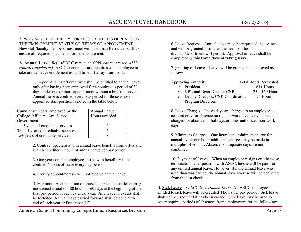*\* Please Note:* ELIGIBILITY FOR MOST BENEFITS DEPENDS ON THE EMPLOYMENT STATUS OR TERMS OF APPOINTMENT.

 New staff/faculty members must meet with a Human Resources staff to ensure all required documents for benefits are met.

**A. Annual Leave** *(Ref: ASCC Governance 4500- career service, 4130 – contract specialists) -*ASCC encourages and requires each employee to take annual leave entitlement as paid time off away from work.

> 1. A permanent staff employee shall be entitled to annual leave only after having been employed for a continuous period of 30 days under one or more appointment without a break in service. Annual leave is credited every pay-period for those whose appointed staff position is noted in the table below:

| Cumulative Years Employed by the<br>College, Military, Am. Samoa | Annual Leave<br>Hours awarded |
|------------------------------------------------------------------|-------------------------------|
| Government                                                       |                               |
| $1 - 3$ years of creditable services                             |                               |
| $3+ - 15$ years of creditable services                           |                               |
| 15+ years of creditable services                                 |                               |

2. Contract Specialists with annual leave benefits from off-island shall be credited 8 hours of annual leave per pay period.

3. One year contract employees hired with benefits will be credited 4 hours of leave every pay period.

4. Faculty appointments – will not receive annual leave.

5. Maximum Accumulation of unused accrued annual leave may not exceed a total of 480 hours or 60 days at the beginning of the first pay period of each calendar year. Any leave in excess shall be forfeited. Annual leave carried forward shall be done at the end of each year or December 31<sup>st</sup>.

6. Leave Request – Annual leave must be requested in advance and will be granted insofar as the needs of the division/department will permit. Approval of leave shall be completed within **three days of taking leave.** 

7. granting of Leave – Leave will be granted and approved as follows:

 Approving Authority Total Hours Requestedo President

| o President                                                                                                                                                                                                                                                                                                                        | $161 +$ Hours               |
|------------------------------------------------------------------------------------------------------------------------------------------------------------------------------------------------------------------------------------------------------------------------------------------------------------------------------------|-----------------------------|
| o VP's and Dean Director CNR                                                                                                                                                                                                                                                                                                       | $25 - 160$ Hours            |
| $\mathbf{r}$ $\mathbf{r}$ $\mathbf{r}$ $\mathbf{r}$ $\mathbf{r}$ $\mathbf{r}$ $\mathbf{r}$ $\mathbf{r}$ $\mathbf{r}$ $\mathbf{r}$ $\mathbf{r}$ $\mathbf{r}$ $\mathbf{r}$ $\mathbf{r}$ $\mathbf{r}$ $\mathbf{r}$ $\mathbf{r}$ $\mathbf{r}$ $\mathbf{r}$ $\mathbf{r}$ $\mathbf{r}$ $\mathbf{r}$ $\mathbf{r}$ $\mathbf{r}$ $\mathbf{$ | $\sim$ $\sim$ $\sim$ $\sim$ |

o Deans, Directors, CNR Coordinator, 1-24 Hours Program Directors

8. Leave Charges – Leave days are charged to an employee's account only for absence on regular workdays. Leave is not charged for absence on holidays or other authorized non-work days.

9. Minimum Charges – One hour is the minimum charge for annual. After one hour, additional charges may be made in multiples of ½ hour. Absences on separate days are not combined.

10. Payment of Leave – When an employee resigns or otherwise, terminates his/her position with ASCC, he/she will be paid for any unused annual leave. However, if more annual leave was used than was earned, the annual leave overuse will be deducted from the last check.

B. **Sick Leave** – *( ASCC Governance 4501) -*All ASCC employees entitled to sick leave will be credited 4 hours per pay period. Sick leave shall not be used until it has been earned. Sick leave may be used to cover required periods of absences from employment for the following: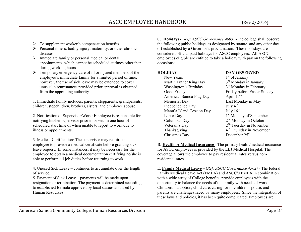- $\triangleright$  To supplement worker's compensation benefits
- Personal illness, bodily injury, maternity, or other chronic diseases diseases
- > Immediate family or personal medical or dental<br>connectments, which connect be selected at time appointments, which cannot be scheduled at times other than during working hours
- > Temporary emergency care of ill or injured members of the<br>
smallowed's immediate family for a limited nexical of time: employee's immediate family for a limited period of time; however, the use of sick leave may be extended to cover unusual circumstances provided prior approval is obtained from the appointing authority.

1. Immediate family includes: parents, stepparents, grandparents, children, stepchildren, brothers, sisters, and employee spouse.

2. Notification of Supervisor/Work: Employee is responsible for notifying his/her supervisor prior to or within one hour of scheduled start time of when unable to report to work due to illness or appointments.

3. Medical Certification: The supervisor may require the employee to provide a medical certificate before granting sick leave request. In some instances, it may be necessary for the employee to obtain a medical documentation certifying he/she is able to perform all job duties before returning to work.

4. Unused Sick Leave – continues to accumulate over the length of service.

5. Payment of Sick Leave – payments will be made upon resignation or termination. The payment is determined according to established formula approved by local statues and used by Human Resources.

C**. Holidays** - (*Ref: ASCC Governance 4605*) -The college shall observe the following public holidays as designated by statute, and any other day off established by a Governor's proclamation. These holidays are considered official paid holidays for ASCC employees. All ASCC employees eligible are entitled to take a holiday with pay on the following occasions:

New Years  $1<sup>st</sup>$  of January Martin Luther King Day  $3<sup>rd</sup>$  Monday in January Washington's Birthday  $3<sup>rd</sup>$  Monday in February Good Friday Friday Friday before Easter Sunday American Samoa Flag Day April 17<sup>th</sup> Memorial Day Last Monday in May<br>Independence Day July 4<sup>th</sup> Independence Day July  $4^{\text{th}}$ <br>Manu'a Island Cession Day July  $16^{\text{th}}$ Manu'a Island Cession Day Labor Day 1<sup>st</sup> Monday of September Columbus Day 2<sup>nd</sup> Monday in October Veteran's Day  $2<sup>nd</sup>$  Tuesday in November Thanksgiving  $4<sup>th</sup>$  Thursday in November Christmas Day December 25<sup>th</sup>

## **HOLIDAY DAY OBSERVED**

**D. Health or Medical Insurance -** The primary health/medical insurance for ASCC employees is provided by the LBJ Medical Hospital. The coverage allows the employee to pay residential rates versus nonresidential rates.

E. **Family Medical Leave** – (*Ref: ASCC Governance 4502) -* The federal Family Medical Leave Act (FMLA) and ASCC's FMLA in combination with a wide array of College benefits, provide employees with the opportunity to balance the needs of the family with needs of work. Childbirth, adoption, child care, caring for ill children, spouse, and parents are challenges faced by many employees. Since the integration of these laws and policies, it has been quite complicated. Employees are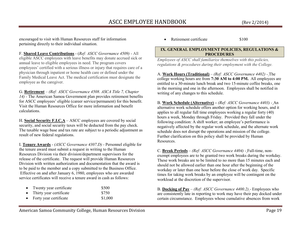encouraged to visit with Human Resources staff for information pertaining directly to their individual situation.

F. **Shared Leave Contributions** - (*Ref: ASCC Governance 4509) -* All eligible ASCC employees with leave benefits may donate accrued sick or annual leave to eligible employees in need. The program covers employees' certified with a serious illness or injury that requires care of a physician through inpatient or home health care or defined under the Family Medical Leave Act. The medical certification must designate the employee as the caregiver.

G. **Retirement** – *(Ref: ASCC Governance 4508. ASCA Title 7, Chapter 14) -* The American Samoa Government plan provides retirement benefits for ASCC employees' eligible (career service/permanent) for this benefit. Visit the Human Resources Office for more information and benefit calculations.

H. **Social Security F.I.C.A** – ASCC employees are covered by social security, and social security taxes will be deducted from the pay check. The taxable wage base and tax rate are subject to a periodic adjustment as result of new federal regulations.

I. **Tenure Awards** - *(ASCC Governance 4307.D)* - Personnel eligible for the tenure award must submit a request in writing to the Human Resources Division via their division/department supervisors for the release of the certificate. The request will provide Human Resources Division with written authorization and documentation that the award is to be paid to the member and a copy submitted to the Business Office. Effective on and after January 6, 1980, employees who are awarded service certificates will receive a tenure award in cash as follows:

| Twenty year certificate | \$500 |
|-------------------------|-------|
| Think, cross somillaots | 0750  |

•Thirty year certificate \$750<br>Forty year certificate \$1,000 •Forty year certificate

•Retirement certificate \$100

#### **IX. GENERAL EMPLOYMENT POLICIES, REGULATIONS & PROCEDURES**

*Employees of ASCC shall familiarize themselves with this policies, regulations & procedures during their employment with the College.* 

A. **Work Hours (Traditional)** – *(Ref: ASCC Governance 4402) -* The college working hours are from **7:30 AM to 4:00 PM.** All employees are entitled to a 30-minute lunch break and two 15-minute coffee breaks, one in the morning and one in the afternoon. Employees shall be notified in writing of any changes to this schedule.

B. **Work Schedule (Alternative) –** *(Ref: ASCC Governance 4403) -* An alternative work schedule offers another option for working hours, and it applies to all regular full time employees working a regular forty (40) hours a week, Monday through Friday. Provided they fall under the following condition: A shift worker; an employee's performance is negatively affected by the regular work schedule, and the alternate work schedule does not disrupt the operations and mission of the college. Further clarification on this policy shall be provided by Human Resources.

C. **Break Periods** – *(Ref: ASCC Governance 4404) -* Full-time, nonexempt employees are to be granted two work breaks during the workday. These work breaks are to be limited to no more than 15 minutes each and should not be allowed earlier than one hour after the beginning of the workday or later than one hour before the close of work day. Specific times for taking work breaks by an employee will be contingent on the workload at the discretion of the supervisor.

B. **Docking of Pay** – *(Ref: ASCC Governance 4400.2) -* Employees who are consistently late in reporting to work may have their pay docked under certain circumstance. Employees whose cumulative absences from work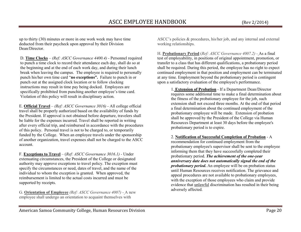up to thirty (30) minutes or more in one work week may have time deducted from their paycheck upon approval by their Division

D. **Time Clocks** – *(Ref: ASCC Governance 4400.4) -* Personnel required to punch a time clock to record their attendance each day, shall do so at the beginning and at the end of each work day, and during their lunch break when leaving the campus. The employee is required to personally punch his/her own time card "**no exceptions".** Failure to punch in or punch out at the assigned clock location or to follow clocking instructions may result in time pay being docked. Employees are specifically prohibited from punching another employee's time card. Violation of this policy will result in disciplinary action.

Dean/Director.

E. **Official Travel** – *(Ref: ASCC Governance 3016) -* All college official travel shall be properly authorized based on the availability of funds by the President. If approval is not obtained before departure, travelers shall be liable for the expenses incurred. Travel shall be reported in writing after every official trip, and reimbursed in accordance with the procedures of this policy. Personal travel is not to be charged to, or temporarily funded by the College. When an employee travels under the sponsorship of another organization, travel expenses shall not be charged to the ASCC account.

F. **Exceptions to Travel** – (*Ref: ASCC Governance 3016.1) -* Under extenuating circumstances, the President of the College or designated authority may approve exceptions to travel policy. The exception must specify the circumstances or need, dates of travel, and the name of the individual to whom the exception is granted. When approved, the reimbursement is limited to the actual costs incurred and must be supported by receipts.

G. **Orientation of Employee** *(Ref: ASCC Governance 4007) -* A new employee shall undergo an orientation to acquaint themselves with

ASCC's policies & procedures, his/her job, and any internal and external working relationships.

H. **Probationary Period** (*Ref: ASCC Governance 4007.2) -* As a final test of employability, in positions of original appointment, promotion, or transfer to a class that has different qualifications, a probationary period shall be required. During this period, the employee has no right to expect continued employment in that position and employment can be terminated at any time. Employment beyond the probationary period is contingent upon a satisfactory evaluation of the employee's performance.

> 1. **Extension of Probation** *-* If a Department Dean/Director requires some additional time to make a final determination about the fitness of the probationary employee for the job, such extension shall not exceed three months. At the end of that period a final determination about the continued employment of the probationary employee will be made. Extension of probation shall be approved by the President of the College via Human Resources Department at least 30 days before the employee's probationary period is to expire.

2. **Notification of Successful Completion of Probation** - A recommendation for continued employment from the probationary employee's supervisor shall be sent to the employee informing them that they have successfully completed their probationary period. *The achievement of the one-year anniversary date does not automatically signal the end of the probationary period***.** An employee will be on probation status until Human Resources receives notification. The grievance and appeal procedures are not available to probationary employees, with the exception of those employees who claim and provide evidence that **unlawful** discrimination has resulted in their being adversely affected.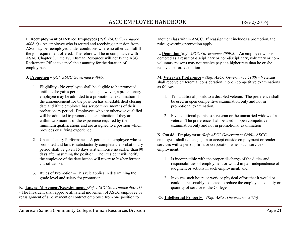I. **Reemployment of Retired Employees (***Ref: ASCC Governance 4008.6) -* An employee who is retired and receiving a pension from ASG may be reemployed under conditions where no other can fulfill the job requirement offered. The rehire will be in compliance with ASAC Chapter 3, Title IV. Human Resources will notify the ASG Retirement Office to cancel their annuity for the duration of employment.

# **J. Promotion -** *(Ref: ASCC Governance 4009)*

- 1. Eligibility No employee shall be eligible to be promoted until he/she gains permanent status; however, a probationary employee may be admitted to a promotional examination if the announcement for the position has an established closing date and if the employee has served three months of their probationary period. Employees who are otherwise qualified will be admitted to promotional examination if they are within two months of the experience required by the minimum qualifications and are assigned to a position which provides qualifying experience.
- 2. Unsatisfactory Performance A permanent employee who is promoted and fails to satisfactorily complete the probationary period shall be given 15 days written notice no earlier than 90 days after assuming the position. The President will notify the employee of the date he/she will revert to his/her former classification.
- 3. <u>Rules of Promotion</u> This rule applies in determining the grade level and salary for promotion.

K. **Lateral Movement/Reassignment** *(Ref: ASCC Governance 4009.1) -* The President shall approve all lateral movement of ASCC employee by reassignment of a permanent or contract employee from one position to

another class within ASCC. If reassignment includes a promotion, the rules governing promotion apply.

L. **Demotion** *(Ref: ASCC Governance 4009.3) -* An employee who is demoted as a result of disciplinary or non-disciplinary, voluntary or nonvoluntary reasons may not receive pay at a higher rate than he or she received before demotion.

**M. Veteran's Preference –** *(Ref: ASCC Governance 4100) -* Veterans shall receive preferential consideration in open competitive examinations as follows:

- 1. Ten additional points to a disabled veteran. The preference shall be used in open competitive examination only and not in promotional examination.
- 2. Five additional points to a veteran or the unmarried widow of a veteran. The preference shall be used in open competitive examination only and not in promotional examination

**N. Outside Employment** *(Ref: ASCC Governance 4206)-* ASCC employees shall not engage in or accept outside employment or render services with a person, firm, or corporation when such service or employment:

- 1. Is incompatible with the proper discharge of the duties and responsibilities of employment or would impair independence of judgment or actions in such employment; and
- 2. Involves such hours or work or physical effort that it would or could be reasonably expected to reduce the employee's quality or quantity of service to the College.
- **O. Intellectual Property** *(Ref: ASCC Governance 3026)*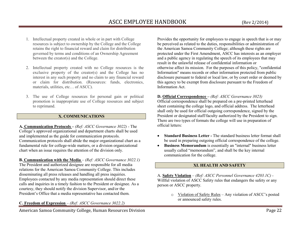- 1. Intellectual property created in whole or in part with College resources is subject to ownership by the College and the College retains the right to financial reward and claim for distribution governed by terms and conditions of an Ownership Agreement between the creator(s) and the College.
- 2. Intellectual property created with no College resources is the exclusive property of the creator(s) and the College has no interest in any such property and no claim to any financial reward or claim for distribution. (Resources: funds, electronics, materials, utilities, etc… of ASCC).
- 3. The use of College resources for personal gain or political promotion is inappropriate use of College resources and subject to reprimand.

# **X. COMMUNICATIONS**

**A. Communication Protocols –** *(Ref: ASCC Governance 3022) -* The College's approved organizational and department charts shall be used and implemented as the guide for communication protocols. Communication protocols shall abide the major organizational chart as a fundamental rule for college-wide matters, or a division organizational chart when an issue requires the attention of the division only.

**B. Communication with the Media** – *(Ref: ASCC Governance 3022.1)*  The President and authorized designee are responsible for all media relations for the American Samoa Community College. This includes disseminating all press releases and handling all press inquiries. Employees contacted by any media representation should direct these calls and inquiries in a timely fashion to the President or designee. As a courtesy, they should notify the division Supervisor, and/or the President's Office that a media representative has contacted them.

**C. Freedom of Expression** – *(Ref: ASCC Governance 3022.2)* 

American Samoa Community College, Human Resources Division **Page 22** 

Provides the opportunity for employees to engage in speech that is or may be perceived as related to the duties, responsibilities or administration of the American Samoa Community College; although these rights are protected under the First Amendment, ASCC has interests as an employer and a public agency in regulating the speech of its employees that may result in the unlawful release of confidential information or otherwise affect its mission. For the purposes of this policy, "confidential Information" means records or other information protected from public disclosure pursuant to federal or local law, or by court order or deemed by this agency to be exempt from disclosure pursuant to the Freedom of Information Act.

## **D. Official Correspondence –** *(Ref: ASCC Governance 3023)*

 Official correspondence shall be prepared on a pre-printed letterhead sheet containing the college logo, and official address. The letterhead shall only be used for official outgoing correspondence, signed by the President or designated staff/faculty authorized by the President to sign. There are two types of formats the college will use in preparation of official letters:

- •**Standard Business Letter - The standard business letter format shall** be used in preparing outgoing official correspondence of the college.
- • **Business Memorandum** is essentially an "internal" business letter usually called "memorandum", and shall be the key internal communication for the college.

## **XI. HEALTH AND SAFETY**

A. **Safety Violation** – *(Ref: ASCC Personnel Governance 4203.1C) -*  Willful violation of ASCC Safety rules that endangers the safety or any person or ASCC property.

> $\circ$  Violation of Safety Rules – Any violation of ASCC's posted or announced safety rules.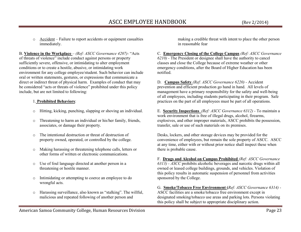o Accident – Failure to report accidents or equipment casualties immediately.

B. **Violence in the Workplace** *– (Ref: ASCC Governance 4207)-* "Acts of threats of violence" include conduct against persons or property sufficiently severe, offensive, or intimidating to alter employment conditions or to create a hostile, abusive, or intimidating work environment for any college employee/student. Such behavior can include oral or written statements, gestures, or expressions that communicate a direct or indirect threat of physical harm. Examples of conduct that may be considered "acts or threats of violence" prohibited under this policy include, but are not limited to following:

# 1. **Prohibited Behaviors**:

- oHitting, kicking, punching, slapping or shoving an individual.
- o Threatening to harm an individual or his/her family, friends, associates, or damage their property.
- o The intentional destruction or threat of destruction of property owned, operated, or controlled by the college.
- o Making harassing or threatening telephone calls, letters or other forms of written or electronic communications.
- o Use of foul language directed at another person in a threatening or hostile manner.
- o Intimidating or attempting to coerce an employee to do wrongful acts.
- o Harassing surveillance, also known as "stalking". The willful, malicious and repeated following of another person and

making a credible threat with intent to place the other person in reasonable fear

C. **Emergency Closing of the College Campus** *(Ref: ASCC Governance 6210) -* The President or designee shall have the authority to cancel classes and close the College because of extreme weather or other emergency conditions, after the Board of Higher Education has been notified.

D. **Campus Safety** *(Ref: ASCC Governance 6220) -* Accident prevention and efficient production go hand in hand. All levels of management have a primary responsibility for the safety and well-being of all employees, including students participating in their program. Safe practices on the part of all employees must be part of all operations.

E. **Security Inspections** *(Ref: ASCC Governance 6312) -* To maintain a work environment that is free of illegal drugs, alcohol, firearms, explosives, and other improper materials, ASCC prohibits the possession, transfer, sale or use of such materials on its premises.

Desks, lockers, and other storage devices may be provided for the convenience of employees, but remain the sole property of ASCC. ASCC at any time, either with or without prior notice shall inspect these when there is probable cause.

F. **Drugs and Alcohol on Campus Prohibited** *(Ref: ASCC Governance 6313) - ASCC* prohibits alcoholic beverages and narcotic drugs within all owned or leased college buildings, grounds, and vehicles. Violation of this policy results in automatic suspension of personnel from activities sponsored by the College.

G. **Smoke/Tobacco Free Environment (***Ref: ASCC Governance 6314) -* ASCC facilities are a smoke/tobacco free environment except in designated smoking/tobacco use areas and parking lots. Persons violating this policy shall be subject to appropriate disciplinary action.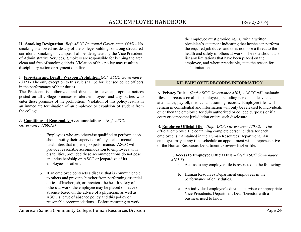H. **Smoking Designation** *(Ref: ASCC Personnel Governance 4405) -* No smoking is allowed inside any of the college buildings or along structured corridors. Smoking on campus shall be designated by the Vice President of Administrative Services. Smokers are responsible for keeping the area clean and free of smoking debris. Violation of this policy may result in disciplinary action or payment of a fine.

I**. Fire-Arm and Deadly Weapon Prohibition (***Ref: ASCC Governance 6315) -* The only exception to this rule shall be for licensed police officers in the performance of their duties.

 The President is authorized and directed to have appropriate notices posted on all college premises to alert employees and any parties who enter these premises of the prohibition. Violation of this policy results in an immediate termination of an employee or expulsion of student from the college.

#### J. **Conditions of Reasonable Accommodations** – *(Ref: ASCC Governance 4209.1A)*

- - a. Employees who are otherwise qualified to perform a job should notify their supervisor of physical or mental disabilities that impede job performance. ASCC will provide reasonable accommodation to employees with disabilities, provided these accommodations do not pose an undue hardship on ASCC or jeopardize of its employees or others.
	- b. If an employee contracts a disease that is communicable to others and prevents him/her from performing essential duties of his/her job, or threatens the health safety of others at work, the employee may be placed on leave of absence based on the advice of a physician, as well as ASCC's leave of absence policy and this policy on reasonable accommodations. Before returning to work,

the employee must provide ASCC with a written physician's statement indicating that he/she can perform the required job duties and does not pose a threat to the health and safety of others at work. The note should also list any limitations that have been placed on the employee, and where practicable, state the reason for such limitations.

# **XII. EMPLOYEE RECORDS/INFORMATION**

A. **Privacy Rule –** *(Ref: ASCC Governance 4205) -* ASCC will maintain files and records on all its employees, including personnel, leave and attendance, payroll, medical and training records. Employee files will remain in confidential and information will only be released to individuals other then the employee for duly authorized or college purposes or if a court or competent jurisdiction orders such disclosure.

B. **Employee Official File** *– (Ref: ASCC Governance 4205.2) – The o*fficial employee file containing complete personnel data for each employee is maintained in the Human Resources Department. An employee may at any time schedule an appointment with a representative of the Human Resources Department to review his/her file.

> 1**. Access to Employee Official File –** *(Ref: ASCC Governance 4205.5)*

- a. Access to any employee file is restricted to the following:
- b. Human Resources Department employees in the performance of daily duties.
- c. An individual employee's direct supervisor or appropriate Vice Presidents, Department Dean/Director with a business need to know.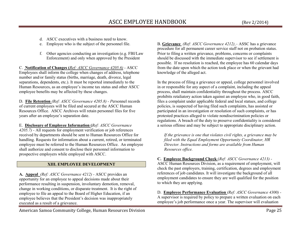- d. ASCC executives with a business need to know.
- e.Employee who is the subject of the personnel file.
- f. Other agencies conducting an investigation (e.g. FBI/Law Enforcement) and only when approved by the President

C. **Notification of Changes (***Ref: ASCC Governance 4205.6) -* ASCC Employees shall inform the college when changes of address, telephone number and/or family status (births, marriage, death, divorce, legal separations, dependents, etc.). It must be reported immediately to the Human Resources, as an employee's income tax status and other ASCC employee benefits may be affected by these changes.

D. **File Retention** *(Ref: ASCC Governance 4205.8) - P*ersonnel records of current employees will be filed and secured at the ASCC Human Resources Office. ASCC Archives will retain personnel files for five years after an employee's separation date.

E. **Disclosure of Employee Information (***Ref: ASCC Governance 4205.7) -* All requests for employment verification or job references received by departments should be sent to Human Resources Office for handling. Requests for information about a current, retired, or terminated employee must be referred to the Human Resources Office. An employee shall authorize and consent to disclose their personnel information to prospective employers while employed with ASCC.

# **XIII. EMPLOYEE DEVELOPMENT**

**A. Appeal** *(Ref: ASCC Governance 4212) -* ASCC provides an opportunity for an employee to appeal decisions made about their performance resulting in suspension, involuntary demotion, removal, change in working conditions, or disparate treatment. It is the right of employee to file an appeal to the Board of Higher Education, if an employee believes that the President's decision was inappropriately executed as a result of a grievance.

American Samoa Community College, Human Resources Division **Page 25** 

B. **Grievance** *(Ref: ASCC Governance 4212) –* ASSC has a grievance procedure for all permanent career service staff not on probation status. Prior to filing a written grievance, problems, concerns or complaints should be discussed with the immediate supervisor to see if settlement is possible. If no resolution is reached, the employee has 60 calendar days from the date upon which the action took place or when the grievant had knowledge of the alleged act.

In the process of filing a grievance or appeal, college personnel involved in or responsible for any aspect of a complaint, including the appeal process, shall maintain confidentiality throughout the process. ASCC prohibits retaliatory action taken against an employee who, in good faith, files a complaint under applicable federal and local statues, and college policies, is suspected of having filed such complaints, has assisted or participated in an investigation or resolution of such complaints, or has protested practices alleged to violate nondiscrimination policies or regulations. A breach of the duty to preserve confidentiality is considered a serious offense and may be subject to appropriate disciplinary action.

*If the grievance is one that violates civil rights, a grievance may be filed with the Equal Employment Opportunity Coordinator, HR Director. Instructions and forms are available from Human Resources office.* 

**C. Employee Background Check** (*Ref: ASCC Governance 4213) -*  ASCC Human Resources Division, as a requirement of employment, will check the past employers, training, certification, degrees and employment references of job candidates. It will investigate the background of all employment candidates to ensure they are well qualified for the position to which they are applying.

D. **Employee Performance Evaluation** *(Ref: ASCC Governance 4300) -* A supervisor is required by policy to prepare a written evaluation on each employee's job performance once a year. The supervisor will evaluation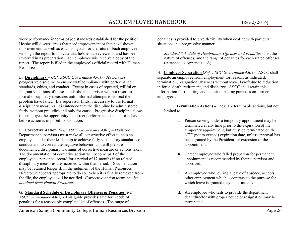G. **Standard Schedule of Disciplinary Offenses & Penalties (***Ref: ASCC Governance 4303) -* This guide provides a uniform code of penalties for a reasonably complete list of offenses. The range of

work performance in terms of job standards established for the position. He/she will discuss areas that need improvement or that have shown improvement, as well as establish goals for the future. Each employee will sign the report to indicate that he/she has reviewed it and has been involved in its preparation. Each employee will receive a copy of the report. The report is filed in the employee's official record with Human Resources.

E. **Disciplinary –** *(Ref: ASCC Governance 4301) -* ASCC uses progressive discipline to ensure staff compliance with performance standards, ethics, and conduct. Except in cases of repeated, willful or flagrant violations of these standards, a supervisor will not resort to formal disciplinary measures until informal attempts to correct the problem have failed. If a supervisor finds it necessary to use formal disciplinary measures, it is intended that the discipline be administered fairly, without prejudice and only for cause. Progressive discipline allows the employee the opportunity to correct performance conduct or behavior before action is imposed for violation.

F. **Corrective Action** *(Ref: ASCC Governance 4302) – Div*ision/ Department supervisors must make all constructive effort to help an employee under their leadership to achieve fully satisfactory standards of conduct and to correct the negative behavior, and will prepare documented disciplinary warnings of corrective measure or actions taken. The documentation of corrective action will become part of the employee's personnel record for a period of 12 months if no related disciplinary measures are recorded within that period. Documentation may be retained longer if, in the judgment of the Human Resources Director, it appears appropriate to do so. When it is finally removed from the file, the employee will be notified. *Corrective Action forms can be obtained from Human Resources.* 

penalties is provided to give flexibility when dealing with particular situations in a progressive manner.

*Standard Schedule of Disciplinary Offenses and Penalties* – list the nature of offenses, and the range of penalties for each stated offenses. (Attached as Appendix  $- A$ )

H. **Employee Separation (***Ref: ASCC Governance 4304) -* ASCC shall separate an employee from employment for reasons as indicated: termination, resignation, absences without leave, layoff due to reduction in force, death, retirement, and discharge. ASCC shall retain this information for reporting and decision making purposes on former employees.

1. **Termination Actions -** These are terminable actions, but not limited to:

- a. Person serving under a temporary appointment may beterminated at any time prior to the expiration of the temporary appointment, but must be terminated on the NTE (not to exceed) expiration date, unless approval has been granted by the President for extension of the appointment.
- **b.** Career employee who failed probation for permanent appointment as recommended by their supervisor and approved.
- c. An employee who, during a leave of absence, accepts other employment which is contrary to the purpose for which leave is granted may be terminated.
- d. An employee who fails to provide the department dean/director with proper notice of resignation may be terminated.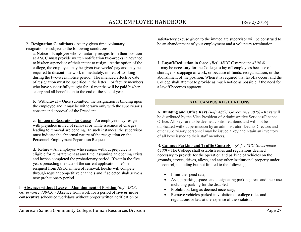2. **Resignation Conditions -** At any given time, voluntary resignation is subject to the following conditions:

a. Notice – Employee who voluntarily resigns from their position at ASCC must provide written notification two-weeks in advance to his/her supervisor of their intent to resign. At the option of the college, the employee may be given two weeks' pay and may be required to discontinue work immediately, in lieu of working during the two-week notice period. The intended effective date of resignation must be specified in the letter. For faculty members who have successfully taught for 10 months will be paid his/her salary and all benefits up to the end of the school year.

b. Withdrawal – Once submitted, the resignation is binding upon the employee and it may be withdrawn only with the supervisor's consent and approval of the President.

c. In Lieu of Separation for Cause – An employee may resign with prejudice in lieu of removal or while issuance of charges leading to removal are pending. In such instances, the supervisor must indicate the abnormal nature of the resignation on the Personnel Employment Separation Request.

d. Rehire – An employee who resigns without prejudice is eligible for reinstatement at any time, assuming an opening exists and he/she completed the probationary period. If within the five years preceding the date of the current application, he/she resigned from ASCC in lieu of removal, he/she will compete through regular competitive channels and if selected shall serve a new probationary period.

I. **Absences without Leave – Abandonment of Position** *(Ref: ASCC Governance 4304.3) -* Absence from work for a period of **five or more consecutive** scheduled workdays without proper written notification or

satisfactory excuse given to the immediate supervisor will be construed to be an abandonment of your employment and a voluntary termination.

J. **Layoff/Reduction in force** *(Ref: ASCC Governance 4304.4)*  It may be necessary for the College to lay off employees because of a shortage or stoppage of work, or because of funds, reorganization, or the abolishment of the position. When it is required that layoffs occur, and the College shall attempt to provide as much notice as possible if the need for a layoff becomes apparent.

# **XIV. CAMPUS REGULATIONS**

A. **Building and Office Keys** (*Ref: ASCC Governance 3025) -* Keys will be distributed by the Vice President of Administrative Services/Finance Office. All keys are to be deemed controlled items and will not be duplicated without permission by an administrator. Deans/Directors and other supervisory personnel may be issued a key and retain an inventory of all keys issued to their staff members.

B. **Campus Parking and Traffic Controls** – *(Ref: ASCC Governance 6400) -* The College shall establish rules and regulations deemed necessary to provide for the operation and parking of vehicles on the grounds, streets, drives, alleys, and any other institutional property under its control, including but not limited to the following:

- Limit the speed rate;
- Assign parking spaces and designating parking areas and their use including parking for the disabled
- Prohibit parking as deemed necessary; •
- • Remove vehicles parked in violation of college rules and regulations or law at the expense of the violator;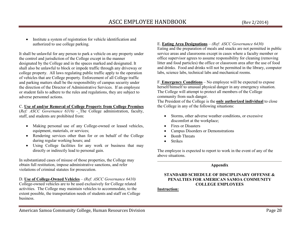• Institute a system of registration for vehicle identification and authorized to use college parking.

It shall be unlawful for any person to park a vehicle on any property under the control and jurisdiction of the College except in the manner designated by the College and in the spaces marked and designated. It shall also be unlawful to block or impede traffic through any driveway or college property. All laws regulating public traffic apply to the operation of vehicles that are College property. Enforcement of all College traffic and parking matters shall be the responsibility of campus security under the direction of the Director of Administrative Services. If an employee or student fails to adhere to the rules and regulations, they are subject to adverse personnel actions.

## C. **Use of and/or Removal of College Property from College Premises**

 (*Ref: ASCC Governance 6316) -* The College administration, faculty, staff, and students are prohibited from:

- $\bullet$  Making personal use of any College-owned or leased vehicles, equipment, materials, or services;
- Rendering services other than for or on behalf of the College during regular working hours; and
- Using College facilities for any work or business that may directly or indirectly lead to personal gain.

In substantiated cases of misuse of those properties, the College may obtain full restitution, impose administrative sanctions, and refer violations of criminal statutes for prosecution.

D. **Use of College-Owned Vehicles** – *(Ref: ASCC Governance 6410)* College-owned vehicles are to be used exclusively for College related activities. The College may maintain vehicles to accommodate, to the extent possible, the transportation needs of students and staff on College business.

# E. **Eating Area Designations** – *(Ref: ASCC Governance 6430)*

 Eating and the preparation of meals and snacks are not permitted in public service areas and classrooms except in cases where a faculty member or office supervisor agrees to assume responsibility for cleaning (removing litter and food particles) the office or classroom area after the use of food and drinks. Food and drinks will not be permitted in the library, computer labs, science labs, technical labs and mechanical rooms.

F. **Emergency Conditions** – No employee will be expected to expose herself/himself to unusual physical danger in any emergency situation. The College will attempt to protect all members of the College community from such danger.

 The President of the College is the **only authorized individual** to close the College in any of the following situations:

- Storms, other adverse weather conditions, or excessive discomfort at the workplace;
- Fires or Disasters
- •Campus Disorders or Demonstrations
- •Bomb Threats
- •Strikes

The employee is expected to report to work in the event of any of the above situations.

# **Appendix**

# **STANDARD SCHEDULE OF DISCIPLINARY OFFENSE & PENALTIES FOR AMERICAN SAMOA COMMUNITY COLLEGE EMPLOYEES**

#### **Instruction:**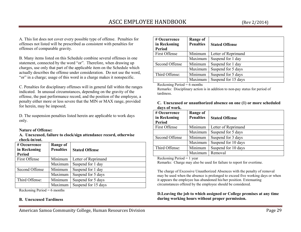A. This list does not cover every possible type of offense. Penalties for offenses not listed will be prescribed as consistent with penalties for offenses of comparable gravity.

B. Many items listed on this Schedule combine several offenses in one statement, connected by the word "or". Therefore, when drawing up charges, use only that part of the applicable item on the Schedule which actually describes the offense under consideration. Do not use the word, "or" in a charge; usage of this word in a charge makes it nonspecific.

C. Penalties for disciplinary offenses will in general fall within the ranges indicated. In unusual circumstances, depending on the gravity of the offense, the past performance record, and the position of the employee, a penalty either more or less severe that the MIN or MAX range, provided for herein, may be imposed;

D. The suspension penalties listed herein are applicable to work days only.

#### **Nature of Offense:**

**A. Unexcused, failure to clock/sign attendance record, otherwise check-in/out.** 

| # Occurrence<br>in Reckoning<br><b>Period</b>                                              | Range of<br><b>Penalties</b> | <b>Stated Offense</b> |
|--------------------------------------------------------------------------------------------|------------------------------|-----------------------|
| First Offense                                                                              | Minimum                      | Letter of Reprimand   |
|                                                                                            | Maximum                      | Suspend for 1 day     |
| Second Offense                                                                             | Minimum                      | Suspend for 1 day     |
|                                                                                            | Maximum                      | Suspend for 5 days    |
| Third Offense:                                                                             | Minimum                      | Suspend for 5 days    |
|                                                                                            | Maximum                      | Suspend for 15 days   |
| $\mathbf{D}$ $\mathbf{I}$ $\mathbf{D}$ $\mathbf{D}$ $\mathbf{I}$ $\mathbf{A}$ $\mathbf{I}$ |                              |                       |

Reckoning Period  $= 6$  months

## **B. Unexcused Tardiness**

| Range of<br><b>Penalties</b> | <b>Stated Offense</b>                                     |
|------------------------------|-----------------------------------------------------------|
| Minimum                      | Letter of Reprimand                                       |
| Maximum                      | Suspend for 1 day                                         |
| Minimum                      | Suspend for 1 day                                         |
| Maximum                      | Suspend for 5 days                                        |
| Minimum                      | Suspend for 5 days                                        |
| Maximum                      | Suspend for 15 days                                       |
|                              | $\mathbf{n}$ i $\mathbf{n}$ i $\mathbf{r}$ i $\mathbf{n}$ |

Reckoning Period  $= 6$  months

 Remarks: Disciplinary action is in addition to non-pay status for period of tardiness.

| C. Unexcused or unauthorized absence on one (1) or more scheduled |  |
|-------------------------------------------------------------------|--|
| days of work.                                                     |  |

| # Occurrence<br>in Reckoning<br>Period | Range of<br><b>Penalties</b> | <b>Stated Offense</b> |
|----------------------------------------|------------------------------|-----------------------|
| First Offense                          | Minimum                      | Letter of Reprimand   |
|                                        | Maximum                      | Suspend for 5 days    |
| Second Offense                         | Minimum                      | Suspend for 3 days    |
|                                        | Maximum                      | Suspend for 10 days   |
| Third Offense:                         | Minimum                      | Suspend for 10 days   |
|                                        | Maximum                      | Removal               |
| $\cdot$ n<br>$\mathbf{r}$ $\mathbf{r}$ |                              |                       |

Reckoning Period = 1 year

Remarks: Charge may also be used for failure to report for overtime.

The charge of Excessive Unauthorized Absences with the penalty of removal may be used when the absence is prolonged to exceed five working days or when it appears the employee has abandoned his/her position. Extenuating circumstances offered by the employee should be considered.

## **D.Leaving the job to which assigned or College premises at any time during working hours without proper permission.**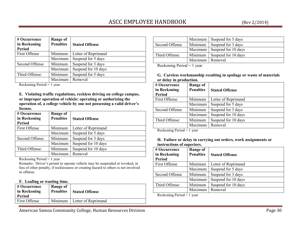| # Occurrence<br>in Reckoning<br><b>Period</b> | <b>Range of</b><br><b>Penalties</b> | <b>Stated Offense</b> |
|-----------------------------------------------|-------------------------------------|-----------------------|
| First Offense                                 | Minimum                             | Letter of Reprimand   |
|                                               | Maximum                             | Suspend for 5 days    |
| Second Offense                                | Minimum                             | Suspend for 3 days    |
|                                               | Maximum                             | Suspend for 10 days   |
| Third Offense:                                | Minimum                             | Suspend for 5 days    |
|                                               | Maximum                             | Removal               |

Reckoning Period = 1 year

**E. Violating traffic regulations, reckless driving on college campus, or improper operation of vehicle: operating or authorizing the operation of, a college vehicle by one not possessing a valid driver's license.** 

| # Occurrence<br>in Reckoning<br><b>Period</b>                                                           | Range of<br><b>Penalties</b> | <b>Stated Offense</b> |
|---------------------------------------------------------------------------------------------------------|------------------------------|-----------------------|
| First Offense                                                                                           | Minimum                      | Letter of Reprimand   |
|                                                                                                         | Maximum                      | Suspend for 5 days    |
| Second Offense                                                                                          | Minimum                      | Suspend for 3 days    |
|                                                                                                         | Maximum                      | Suspend for 10 days   |
| Third Offense:                                                                                          | Minimum                      | Suspend for 10 days   |
|                                                                                                         | Maximum                      | Removal               |
| $\mathbf{p}$ $\mathbf{p}$ $\mathbf{p}$ $\mathbf{p}$ $\mathbf{p}$ $\mathbf{p}$ $\mathbf{p}$ $\mathbf{p}$ |                              |                       |

Reckoning Period = 1 year

 Remarks: Driver's permit to operate vehicle may be suspended or revoked, in lieu of other penalty, if recklessness or creating hazard to others is not involved in offense.

#### **F. Loafing or wasting time.**

|                                                        | $\#$ Occurrence<br>in Reckoning<br>Period | Range of<br><b>Penalties</b> | <b>Stated Offense</b> |
|--------------------------------------------------------|-------------------------------------------|------------------------------|-----------------------|
| <b>First Offense</b><br>Minimum<br>Letter of Reprimand |                                           |                              |                       |

American Samoa Community College, Human Resources Division **Page 30** Page 30

|                                        |                   | Maximum   Suspend for 5 days |
|----------------------------------------|-------------------|------------------------------|
| Second Offense                         | Minimum           | Suspend for 3 days           |
|                                        | Maximum           | Suspend for 10 days          |
| Third Offense:                         | Minimum           | Suspend for 10 days          |
|                                        | Maximum   Removal |                              |
| $\mathbf{r}$ $\mathbf{r}$ $\mathbf{r}$ |                   |                              |

Reckoning Period = 1 year

**G. Careless workmanship resulting in spoilage or waste of materials or delay in production.** 

| # Occurrence                                     | Range of         |                       |
|--------------------------------------------------|------------------|-----------------------|
| in Reckoning                                     | <b>Penalties</b> | <b>Stated Offense</b> |
| Period                                           |                  |                       |
| First Offense                                    | Minimum          | Letter of Reprimand   |
|                                                  | Maximum          | Suspend for 5 days    |
| Second Offense                                   | Minimum          | Suspend for 3 days    |
|                                                  | Maximum          | Suspend for 10 days   |
| Third Offense:                                   | Minimum          | Suspend for 10 days   |
|                                                  | Maximum          | Removal               |
| $\cdot$ n $\cdot$ 1<br>$\mathbf{r}$ $\mathbf{r}$ |                  |                       |

Reckoning Period = 1 year

#### **H. Failure or delay in carrying out orders, work assignments or instructions of superiors.**

| # Occurrence<br>in Reckoning<br><b>Period</b>                                 | <b>Range of</b><br><b>Penalties</b> | <b>Stated Offense</b> |
|-------------------------------------------------------------------------------|-------------------------------------|-----------------------|
| First Offense                                                                 | Minimum                             | Letter of Reprimand   |
|                                                                               | Maximum                             | Suspend for 5 days    |
| Second Offense                                                                | Minimum                             | Suspend for 3 days    |
|                                                                               | Maximum                             | Suspend for 10 days   |
| Third Offense:                                                                | Minimum                             | Suspend for 10 days   |
|                                                                               | Maximum                             | Removal               |
| $\mathbf{n}$ $\mathbf{1}$ $\mathbf{n}$ $\mathbf{n}$ $\mathbf{1}$ $\mathbf{1}$ |                                     |                       |

Reckoning Period = 1 year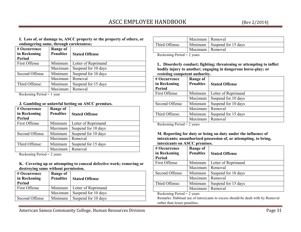**I. Loss of, or damage to, ASCC property or the property of others, or endangering same, through carelessness;** 

| # Occurrence<br>in Reckoning<br>Period                                                        | <b>Range of</b><br><b>Penalties</b> | <b>Stated Offense</b> |
|-----------------------------------------------------------------------------------------------|-------------------------------------|-----------------------|
| First Offense                                                                                 | Minimum                             | Letter of Reprimand   |
|                                                                                               | Maximum                             | Suspend for 10 days   |
| Second Offense                                                                                | Minimum                             | Suspend for 10 days   |
|                                                                                               | Maximum                             | Removal               |
| Third Offense:                                                                                | Minimum                             | Suspend for 15 days   |
|                                                                                               | Maximum                             | Removal               |
| $\mathbf{r}$ $\mathbf{n}$ $\mathbf{r}$ $\mathbf{r}$ $\mathbf{r}$<br>$\mathbf{r}$ $\mathbf{r}$ |                                     |                       |

Reckoning Period = 1 year

#### **J. Gambling or unlawful betting on ASCC premises.**

| # Occurrence<br>in Reckoning<br><b>Period</b> | <b>Range of</b><br><b>Penalties</b> | <b>Stated Offense</b> |
|-----------------------------------------------|-------------------------------------|-----------------------|
| First Offense                                 | Minimum                             | Letter of Reprimand   |
|                                               | Maximum                             | Suspend for 10 days   |
| Second Offense                                | Minimum                             | Suspend for 10 days   |
|                                               | Maximum                             | Removal               |
| Third Offense:                                | Minimum                             | Suspend for 15 days   |
|                                               | Maximum                             | Removal               |
| $n + 1$ $n + 1$                               | $\sim$ $\sim$                       |                       |

Reckoning Period = 2 years

#### **K. Covering up or attempting to conceal defective work; removing or destroying same without permission.**

| # Occurrence<br>in Reckoning<br>Period | Range of<br><b>Penalties</b> | <b>Stated Offense</b> |
|----------------------------------------|------------------------------|-----------------------|
| <b>First Offense</b>                   | Minimum                      | Letter of Reprimand   |
|                                        | Maximum                      | Suspend for 10 days   |
| Second Offense                         | Minimum                      | Suspend for 10 days   |

|                                        | Maximum   Removal |                             |
|----------------------------------------|-------------------|-----------------------------|
| Third Offense:                         |                   | Minimum Suspend for 15 days |
|                                        | Maximum   Removal |                             |
| $\mathbf{r}$ $\mathbf{r}$ $\mathbf{r}$ |                   |                             |

Reckoning Period = 2 years

**L. Disorderly conduct; fighting; threatening or attempting to inflict bodily injury to another; engaging in dangerous horse-play; or resisting competent authority.** 

| # Occurrence<br>in Reckoning<br><b>Period</b> | Range of<br><b>Penalties</b> | <b>Stated Offense</b> |
|-----------------------------------------------|------------------------------|-----------------------|
| First Offense                                 | Minimum                      | Letter of Reprimand   |
|                                               | Maximum                      | Suspend for 10 days   |
| Second Offense                                | Minimum                      | Suspend for 10 days   |
|                                               | Maximum                      | Removal               |
| Third Offense:                                | Minimum                      | Suspend for 15 days   |
|                                               | Maximum                      | Removal               |
| $n + n + 1$                                   | $\sim$ $\sim$                |                       |

Reckoning Period = 2 years

**M. Reporting for duty or being on duty under the influence of intoxicants; unauthorized possession of, or attempting, to bring, intoxicants on ASCC premises.** 

| # Occurrence                        | Range of         |                       |
|-------------------------------------|------------------|-----------------------|
| in Reckoning                        | <b>Penalties</b> | <b>Stated Offense</b> |
| <b>Period</b>                       |                  |                       |
| First Offense                       | Minimum          | Letter of Reprimand   |
|                                     | Maximum          | Removal               |
| Second Offense                      | Minimum          | Suspend for 10 days   |
|                                     | Maximum          | Removal               |
| Third Offense:                      | Minimum          | Suspend for 15 days   |
|                                     | Maximum          | Removal               |
| $\cdots$ $\cdots$<br>$\mathbf{r}$ 1 | $\sim$           |                       |

Reckoning Period  $= 2$  years

 Remarks: Habitual use of intoxicants to excess should be dealt with by Removal rather than lesser penalties.

American Samoa Community College, Human Resources Division **Page 31** Page 31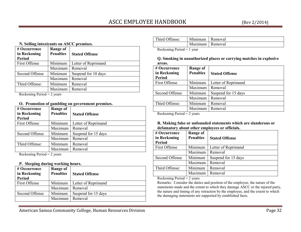| N. Selling intoxicants on ASCC premises. |                  |                       |
|------------------------------------------|------------------|-----------------------|
| # Occurrence                             | Range of         |                       |
| in Reckoning                             | <b>Penalties</b> | <b>Stated Offense</b> |
| Period                                   |                  |                       |
| First Offense                            | Minimum          | Letter of Reprimand   |
|                                          | Maximum          | Removal               |
| Second Offense                           | Minimum          | Suspend for 10 days   |
|                                          | Maximum          | Removal               |
| Third Offense:                           | Minimum          | Removal               |
|                                          | Maximum          | Removal               |
| $n + 1$ $n + 1$                          |                  |                       |

Reckoning Period  $= 2$  years

#### **O. Promotion of gambling on government premises.**

| # Occurrence<br>in Reckoning<br><b>Period</b> | <b>Range of</b><br><b>Penalties</b> | <b>Stated Offense</b> |
|-----------------------------------------------|-------------------------------------|-----------------------|
| First Offense                                 | Minimum                             | Letter of Reprimand   |
|                                               | Maximum                             | Removal               |
| Second Offense                                | Minimum                             | Suspend for 15 days   |
|                                               | Maximum                             | Removal               |
| Third Offense:                                | Minimum                             | Removal               |
|                                               | Maximum                             | Removal               |
| $n + 1$ $n + 1$                               | $\sim$ $\sim$                       |                       |

Reckoning Period = 2 years

#### **P. Sleeping during working hours.**

| # Occurrence<br>in Reckoning<br>Period | <b>Range of</b><br><b>Penalties</b> | <b>Stated Offense</b> |
|----------------------------------------|-------------------------------------|-----------------------|
| First Offense                          | Minimum                             | Letter of Reprimand   |
|                                        | Maximum                             | Removal               |
| Second Offense                         | Minimum                             | Suspend for 15 days   |
|                                        | Maximum                             | Removal               |

| Third Offense:                                                                | Minimum           | Removal |
|-------------------------------------------------------------------------------|-------------------|---------|
|                                                                               | Maximum   Removal |         |
| $\mathbf{n}$ $\mathbf{1}$ $\mathbf{n}$ $\mathbf{n}$ $\mathbf{1}$ $\mathbf{1}$ |                   |         |

Reckoning Period = 1 year

**Q. Smoking in unauthorized places or carrying matches in explosive areas.** 

| # Occurrence<br>in Reckoning<br><b>Period</b>                        | Range of<br><b>Penalties</b> | <b>Stated Offense</b> |
|----------------------------------------------------------------------|------------------------------|-----------------------|
| First Offense                                                        | Minimum                      | Letter of Reprimand   |
|                                                                      | Maximum                      | Removal               |
| Second Offense                                                       | Minimum                      | Suspend for 15 days   |
|                                                                      | Maximum                      | Removal               |
| Third Offense:                                                       | Minimum                      | Removal               |
|                                                                      | Maximum                      | Removal               |
| $D_{\text{sc}}$ , because $D_{\text{sc}}$ , $A = \Delta_{\text{sc}}$ |                              |                       |

Reckoning Period = 2 years

#### **R. Making false or unfounded statements which are slanderous or defamatory about other employees or officials.**

| # Occurrence<br>in Reckoning<br><b>Period</b>              | <b>Range of</b><br><b>Penalties</b> | <b>Stated Offense</b> |
|------------------------------------------------------------|-------------------------------------|-----------------------|
| First Offense                                              | Minimum                             | Letter of Reprimand   |
|                                                            | Maximum                             | Removal               |
| Second Offense                                             | Minimum                             | Suspend for 15 days   |
|                                                            | Maximum                             | Removal               |
| Third Offense:                                             | Minimum                             | Removal               |
|                                                            | Maximum                             | Removal               |
| $\cdot$ .<br>$\mathbf{r}$ , $\mathbf{r}$<br>$\mathbf{r}$ 1 | $\sim$                              |                       |

Reckoning Period = 2 years

 Remarks: Consider the duties and position of the employee, the nature of the statements made and the extent to which they damage ASCC or the injured party, the nature and timing of any retraction by the employee, and the extent to which the damaging statements are supported by established facts.